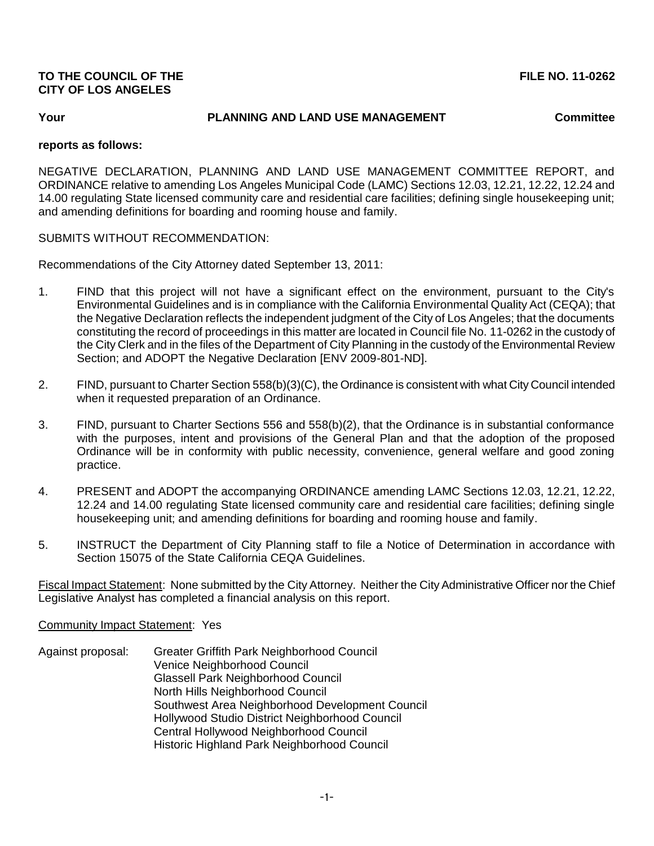# **TO THE COUNCIL OF THE FILE NO. 11-0262 CITY OF LOS ANGELES**

## **Your PLANNING AND LAND USE MANAGEMENT Committee**

### **reports as follows:**

NEGATIVE DECLARATION, PLANNING AND LAND USE MANAGEMENT COMMITTEE REPORT, and ORDINANCE relative to amending Los Angeles Municipal Code (LAMC) Sections 12.03, 12.21, 12.22, 12.24 and 14.00 regulating State licensed community care and residential care facilities; defining single housekeeping unit; and amending definitions for boarding and rooming house and family.

## SUBMITS WITHOUT RECOMMENDATION:

Recommendations of the City Attorney dated September 13, 2011:

- 1. FIND that this project will not have a significant effect on the environment, pursuant to the City's Environmental Guidelines and is in compliance with the California Environmental Quality Act (CEQA); that the Negative Declaration reflects the independent judgment of the City of Los Angeles; that the documents constituting the record of proceedings in this matter are located in Council file No. 11-0262 in the custody of the City Clerk and in the files of the Department of City Planning in the custody of the Environmental Review Section; and ADOPT the Negative Declaration [ENV 2009-801-ND].
- 2. FIND, pursuant to Charter Section 558(b)(3)(C), the Ordinance is consistent with what City Council intended when it requested preparation of an Ordinance.
- 3. FIND, pursuant to Charter Sections 556 and 558(b)(2), that the Ordinance is in substantial conformance with the purposes, intent and provisions of the General Plan and that the adoption of the proposed Ordinance will be in conformity with public necessity, convenience, general welfare and good zoning practice.
- 4. PRESENT and ADOPT the accompanying ORDINANCE amending LAMC Sections 12.03, 12.21, 12.22, 12.24 and 14.00 regulating State licensed community care and residential care facilities; defining single housekeeping unit; and amending definitions for boarding and rooming house and family.
- 5. INSTRUCT the Department of City Planning staff to file a Notice of Determination in accordance with Section 15075 of the State California CEQA Guidelines.

Fiscal Impact Statement: None submitted by the City Attorney. Neither the City Administrative Officer nor the Chief Legislative Analyst has completed a financial analysis on this report.

#### Community Impact Statement: Yes

Against proposal: Greater Griffith Park Neighborhood Council Venice Neighborhood Council Glassell Park Neighborhood Council North Hills Neighborhood Council Southwest Area Neighborhood Development Council Hollywood Studio District Neighborhood Council Central Hollywood Neighborhood Council Historic Highland Park Neighborhood Council